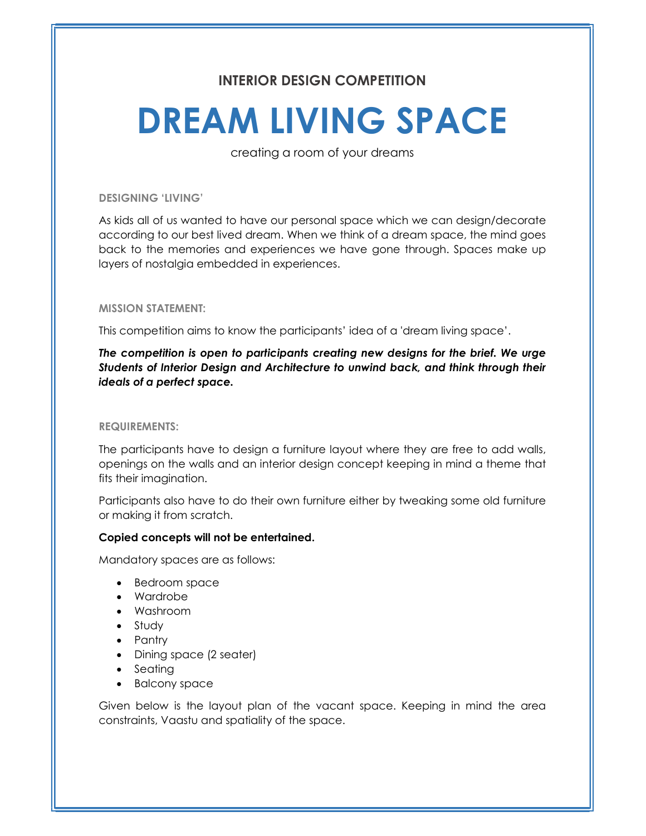# INTERIOR DESIGN COMPETITION

# DREAM LIVING SPACE

creating a room of your dreams

DESIGNING 'LIVING'

As kids all of us wanted to have our personal space which we can design/decorate according to our best lived dream. When we think of a dream space, the mind goes back to the memories and experiences we have gone through. Spaces make up layers of nostalgia embedded in experiences.

#### MISSION STATEMENT:

This competition aims to know the participants' idea of a 'dream living space'.

The competition is open to participants creating new designs for the brief. We urge Students of Interior Design and Architecture to unwind back, and think through their ideals of a perfect space.

REQUIREMENTS:

The participants have to design a furniture layout where they are free to add walls, openings on the walls and an interior design concept keeping in mind a theme that fits their imagination.

Participants also have to do their own furniture either by tweaking some old furniture or making it from scratch.

## Copied concepts will not be entertained.

Mandatory spaces are as follows:

- Bedroom space
- Wardrobe
- Washroom
- Study
- Pantry
- Dining space (2 seater)
- Seating
- Balcony space

Given below is the layout plan of the vacant space. Keeping in mind the area constraints, Vaastu and spatiality of the space.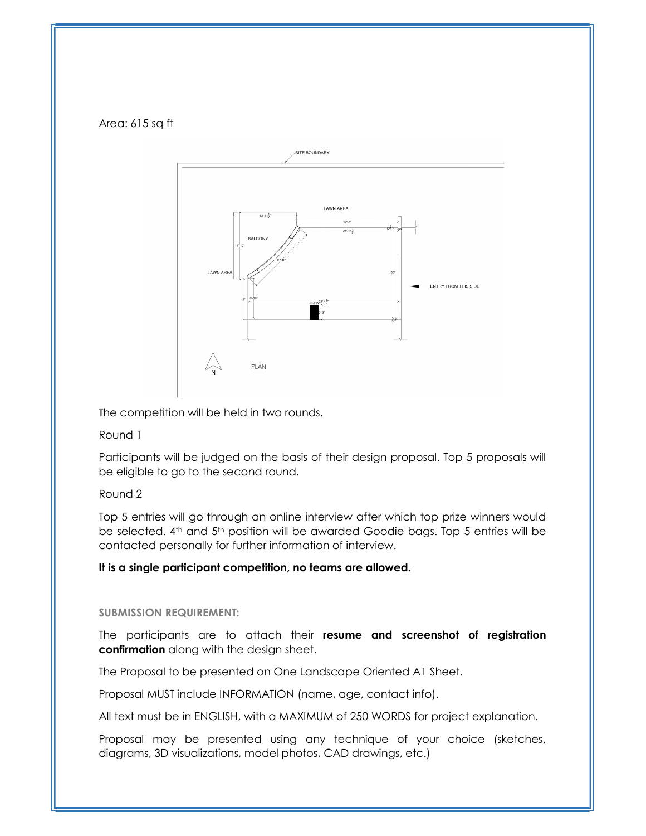## Area: 615 sq ft



The competition will be held in two rounds.

# Round 1

Participants will be judged on the basis of their design proposal. Top 5 proposals will be eligible to go to the second round.

# Round 2

Top 5 entries will go through an online interview after which top prize winners would be selected. 4th and 5th position will be awarded Goodie bags. Top 5 entries will be contacted personally for further information of interview.

# It is a single participant competition, no teams are allowed.

## SUBMISSION REQUIREMENT:

The participants are to attach their resume and screenshot of registration confirmation along with the design sheet.

The Proposal to be presented on One Landscape Oriented A1 Sheet.

Proposal MUST include INFORMATION (name, age, contact info).

All text must be in ENGLISH, with a MAXIMUM of 250 WORDS for project explanation.

Proposal may be presented using any technique of your choice (sketches, diagrams, 3D visualizations, model photos, CAD drawings, etc.)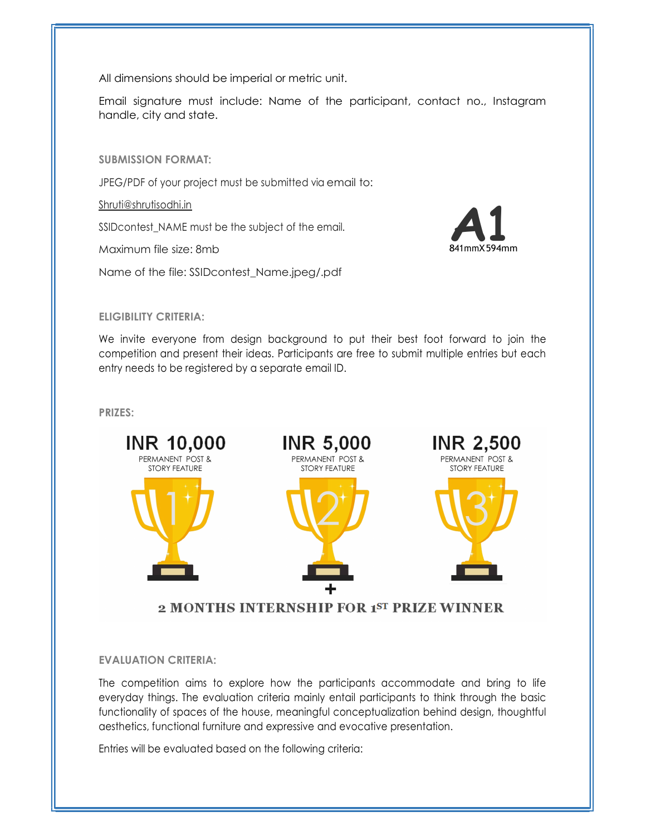All dimensions should be imperial or metric unit.

Email signature must include: Name of the participant, contact no., Instagram handle, city and state.

SUBMISSION FORMAT:

JPEG/PDF of your project must be submitted via email to:

Shruti@shrutisodhi.in

SSIDcontest\_NAME must be the subject of the email.

Maximum file size: 8mb

Name of the file: SSIDcontest\_Name.jpeg/.pdf



# ELIGIBILITY CRITERIA:

We invite everyone from design background to put their best foot forward to join the competition and present their ideas. Participants are free to submit multiple entries but each entry needs to be registered by a separate email ID.

PRIZES:



# 2 MONTHS INTERNSHIP FOR 1ST PRIZE WINNER

## EVALUATION CRITERIA:

The competition aims to explore how the participants accommodate and bring to life everyday things. The evaluation criteria mainly entail participants to think through the basic functionality of spaces of the house, meaningful conceptualization behind design, thoughtful aesthetics, functional furniture and expressive and evocative presentation.

Entries will be evaluated based on the following criteria: